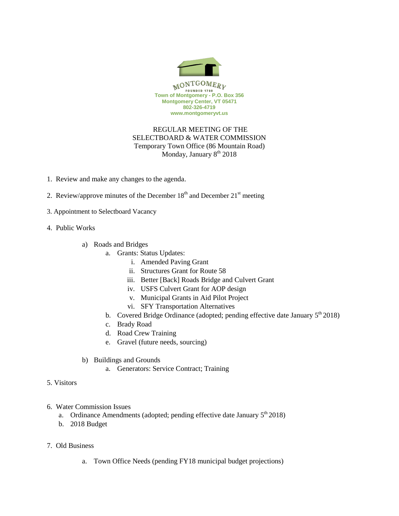

## REGULAR MEETING OF THE SELECTBOARD & WATER COMMISSION Temporary Town Office (86 Mountain Road) Monday, January  $8<sup>th</sup> 2018$

- 1. Review and make any changes to the agenda.
- 2. Review/approve minutes of the December  $18<sup>th</sup>$  and December  $21<sup>st</sup>$  meeting
- 3. Appointment to Selectboard Vacancy
- 4. Public Works
	- a) Roads and Bridges
		- a. Grants: Status Updates:
			- i. Amended Paving Grant
			- ii. Structures Grant for Route 58
			- iii. Better [Back] Roads Bridge and Culvert Grant
			- iv. USFS Culvert Grant for AOP design
			- v. Municipal Grants in Aid Pilot Project
			- vi. SFY Transportation Alternatives
		- b. Covered Bridge Ordinance (adopted; pending effective date January  $5<sup>th</sup> 2018$ )
		- c. Brady Road
		- d. Road Crew Training
		- e. Gravel (future needs, sourcing)
	- b) Buildings and Grounds
		- a. Generators: Service Contract; Training
- 5. Visitors
- 6. Water Commission Issues
	- a. Ordinance Amendments (adopted; pending effective date January  $5<sup>th</sup> 2018$ )
	- b. 2018 Budget
- 7. Old Business
	- a. Town Office Needs (pending FY18 municipal budget projections)